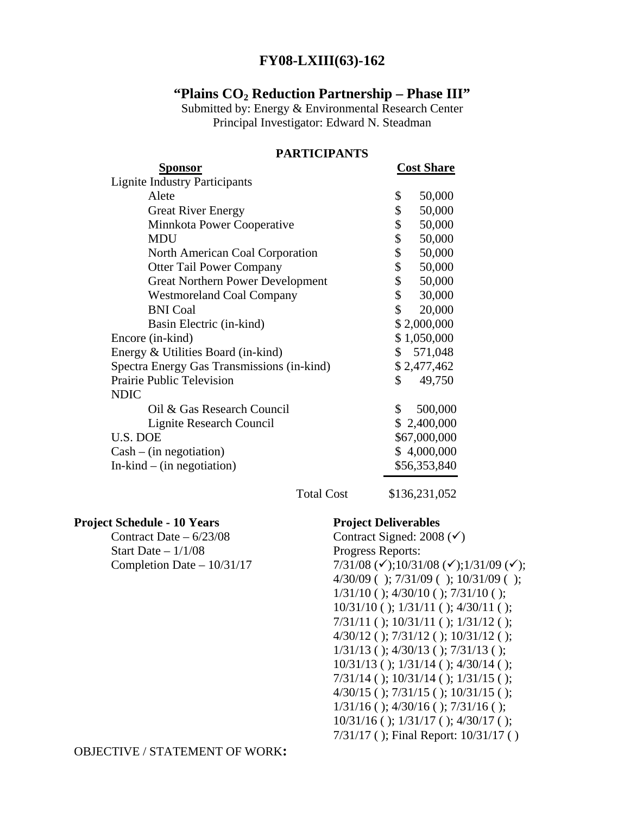## **FY08-LXIII(63)-162**

#### **"Plains CO2 Reduction Partnership – Phase III"**

Submitted by: Energy & Environmental Research Center Principal Investigator: Edward N. Steadman

| Sponsor                                    | <b>Cost Share</b> |
|--------------------------------------------|-------------------|
| <b>Lignite Industry Participants</b>       |                   |
| Alete                                      | \$<br>50,000      |
| <b>Great River Energy</b>                  | \$<br>50,000      |
| Minnkota Power Cooperative                 | 50,000<br>\$      |
| <b>MDU</b>                                 | \$<br>50,000      |
| North American Coal Corporation            | \$<br>50,000      |
| <b>Otter Tail Power Company</b>            | \$<br>50,000      |
| <b>Great Northern Power Development</b>    | \$<br>50,000      |
| <b>Westmoreland Coal Company</b>           | \$<br>30,000      |
| <b>BNI</b> Coal                            | \$<br>20,000      |
| Basin Electric (in-kind)                   | \$2,000,000       |
| Encore (in-kind)                           | \$1,050,000       |
| Energy & Utilities Board (in-kind)         | \$571,048         |
| Spectra Energy Gas Transmissions (in-kind) | \$2,477,462       |
| <b>Prairie Public Television</b>           | \$<br>49,750      |
| <b>NDIC</b>                                |                   |
| Oil & Gas Research Council                 | \$<br>500,000     |
| Lignite Research Council                   | \$2,400,000       |
| U.S. DOE                                   | \$67,000,000      |
| $Cash - (in negotiation)$                  | \$4,000,000       |
| $In$ -kind – (in negotiation)              | \$56,353,840      |

### **PARTICIPANTS**

Total Cost \$136,231,052

**Project Schedule - 10 Years Project Deliverables** 

Start Date – 1/1/08 Progress Reports:

Contract Date –  $6/23/08$  Contract Signed: 2008 ( $\checkmark$ ) Completion Date – 10/31/17  $7/31/08 \, (\checkmark)$ ;10/31/08 ( $\checkmark$ );1/31/09 ( $\checkmark$ ); 4/30/09 ( ); 7/31/09 ( ); 10/31/09 ( ); 1/31/10 ( ); 4/30/10 ( ); 7/31/10 ( ); 10/31/10 ( ); 1/31/11 ( ); 4/30/11 ( ); 7/31/11 ( ); 10/31/11 ( ); 1/31/12 ( ); 4/30/12 ( ); 7/31/12 ( ); 10/31/12 ( ); 1/31/13 ( ); 4/30/13 ( ); 7/31/13 ( ); 10/31/13 ( ); 1/31/14 ( ); 4/30/14 ( ); 7/31/14 ( ); 10/31/14 ( ); 1/31/15 ( ); 4/30/15 ( ); 7/31/15 ( ); 10/31/15 ( ); 1/31/16 ( ); 4/30/16 ( ); 7/31/16 ( ); 10/31/16 ( ); 1/31/17 ( ); 4/30/17 ( ); 7/31/17 ( ); Final Report: 10/31/17 ( )